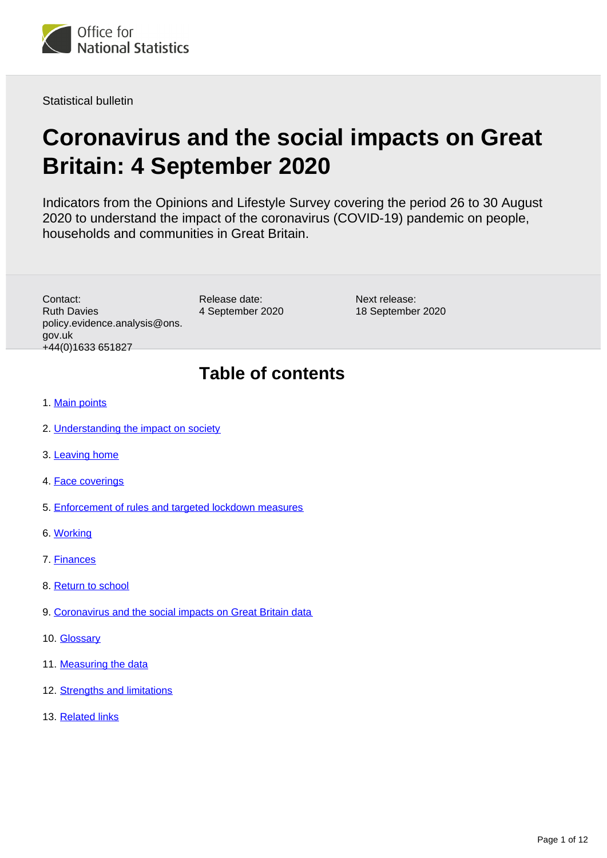

Statistical bulletin

# **Coronavirus and the social impacts on Great Britain: 4 September 2020**

Indicators from the Opinions and Lifestyle Survey covering the period 26 to 30 August 2020 to understand the impact of the coronavirus (COVID-19) pandemic on people, households and communities in Great Britain.

Contact: Ruth Davies policy.evidence.analysis@ons. gov.uk +44(0)1633 651827

Release date: 4 September 2020 Next release: 18 September 2020

### **Table of contents**

- 1. [Main points](#page-1-0)
- 2. [Understanding the impact on society](#page-1-1)
- 3. [Leaving home](#page-2-0)
- 4. [Face coverings](#page-3-0)
- 5. [Enforcement of rules and targeted lockdown measures](#page-5-0)
- 6. [Working](#page-5-1)
- 7. [Finances](#page-7-0)
- 8. [Return to school](#page-7-1)
- 9. [Coronavirus and the social impacts on Great Britain data](#page-8-0)
- 10. [Glossary](#page-8-1)
- 11. [Measuring the data](#page-9-0)
- 12. [Strengths and limitations](#page-10-0)
- 13. [Related links](#page-11-0)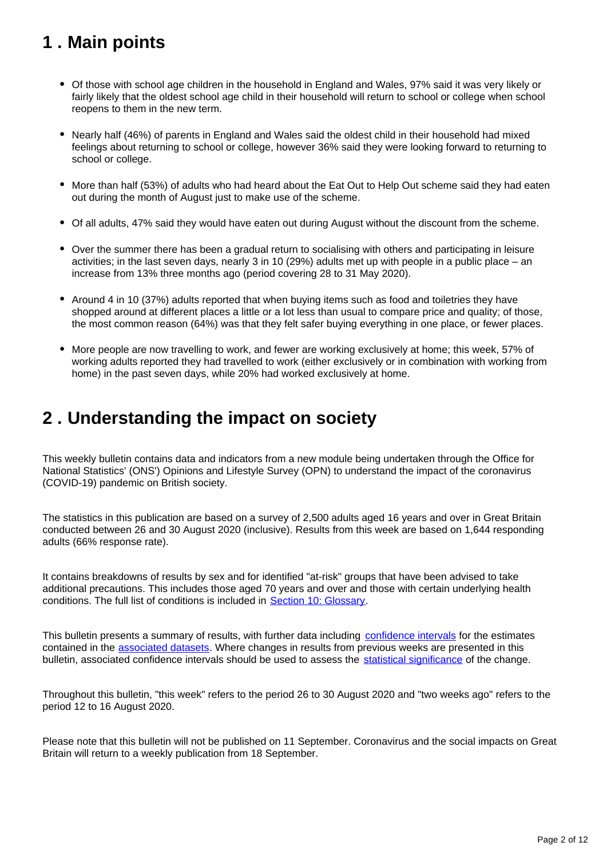## <span id="page-1-0"></span>**1 . Main points**

- Of those with school age children in the household in England and Wales, 97% said it was very likely or fairly likely that the oldest school age child in their household will return to school or college when school reopens to them in the new term.
- Nearly half (46%) of parents in England and Wales said the oldest child in their household had mixed feelings about returning to school or college, however 36% said they were looking forward to returning to school or college.
- More than half (53%) of adults who had heard about the Eat Out to Help Out scheme said they had eaten out during the month of August just to make use of the scheme.
- Of all adults, 47% said they would have eaten out during August without the discount from the scheme.
- Over the summer there has been a gradual return to socialising with others and participating in leisure activities; in the last seven days, nearly 3 in 10 (29%) adults met up with people in a public place – an increase from 13% three months ago (period covering 28 to 31 May 2020).
- Around 4 in 10 (37%) adults reported that when buying items such as food and toiletries they have shopped around at different places a little or a lot less than usual to compare price and quality; of those, the most common reason (64%) was that they felt safer buying everything in one place, or fewer places.
- More people are now travelling to work, and fewer are working exclusively at home; this week, 57% of working adults reported they had travelled to work (either exclusively or in combination with working from home) in the past seven days, while 20% had worked exclusively at home.

### <span id="page-1-1"></span>**2 . Understanding the impact on society**

This weekly bulletin contains data and indicators from a new module being undertaken through the Office for National Statistics' (ONS') Opinions and Lifestyle Survey (OPN) to understand the impact of the coronavirus (COVID-19) pandemic on British society.

The statistics in this publication are based on a survey of 2,500 adults aged 16 years and over in Great Britain conducted between 26 and 30 August 2020 (inclusive). Results from this week are based on 1,644 responding adults (66% response rate).

It contains breakdowns of results by sex and for identified "at-risk" groups that have been advised to take additional precautions. This includes those aged 70 years and over and those with certain underlying health conditions. The full list of conditions is included in [Section 10: Glossary.](https://www.ons.gov.uk/peoplepopulationandcommunity/healthandsocialcare/healthandwellbeing/bulletins/coronavirusandthesocialimpactsongreatbritain/4september2020#glossary)

This bulletin presents a summary of results, with further data including [confidence intervals](https://www.ons.gov.uk/methodology/methodologytopicsandstatisticalconcepts/uncertaintyandhowwemeasureit#confidence-interval) for the estimates contained in the [associated datasets](https://www.ons.gov.uk/peoplepopulationandcommunity/healthandsocialcare/healthandwellbeing/bulletins/coronavirusandthesocialimpactsongreatbritain/21august2020/relateddata). Where changes in results from previous weeks are presented in this bulletin, associated confidence intervals should be used to assess the [statistical significance](https://www.ons.gov.uk/methodology/methodologytopicsandstatisticalconcepts/uncertaintyandhowwemeasureit#statistical-significance) of the change.

Throughout this bulletin, "this week" refers to the period 26 to 30 August 2020 and "two weeks ago" refers to the period 12 to 16 August 2020.

Please note that this bulletin will not be published on 11 September. Coronavirus and the social impacts on Great Britain will return to a weekly publication from 18 September.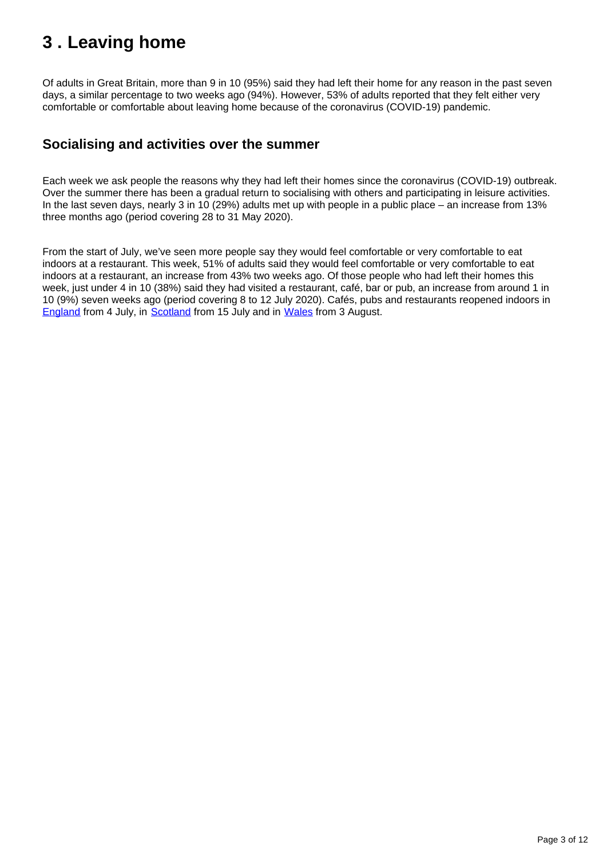## <span id="page-2-0"></span>**3 . Leaving home**

Of adults in Great Britain, more than 9 in 10 (95%) said they had left their home for any reason in the past seven days, a similar percentage to two weeks ago (94%). However, 53% of adults reported that they felt either very comfortable or comfortable about leaving home because of the coronavirus (COVID-19) pandemic.

### **Socialising and activities over the summer**

Each week we ask people the reasons why they had left their homes since the coronavirus (COVID-19) outbreak. Over the summer there has been a gradual return to socialising with others and participating in leisure activities. In the last seven days, nearly 3 in 10 (29%) adults met up with people in a public place – an increase from 13% three months ago (period covering 28 to 31 May 2020).

From the start of July, we've seen more people say they would feel comfortable or very comfortable to eat indoors at a restaurant. This week, 51% of adults said they would feel comfortable or very comfortable to eat indoors at a restaurant, an increase from 43% two weeks ago. Of those people who had left their homes this week, just under 4 in 10 (38%) said they had visited a restaurant, café, bar or pub, an increase from around 1 in 10 (9%) seven weeks ago (period covering 8 to 12 July 2020). Cafés, pubs and restaurants reopened indoors in [England](https://www.gov.uk/government/news/pubs-restaurants-and-hairdressers-to-reopen-from-4-july) from 4 July, in [Scotland](https://www.gov.scot/publications/coronavirus-covid-19-what-you-can-and-cannot-do/pages/shopping-eating-and-drinking-out/) from 15 July and in [Wales](https://gov.wales/coronavirus-regulations-guidance#section-46356) from 3 August.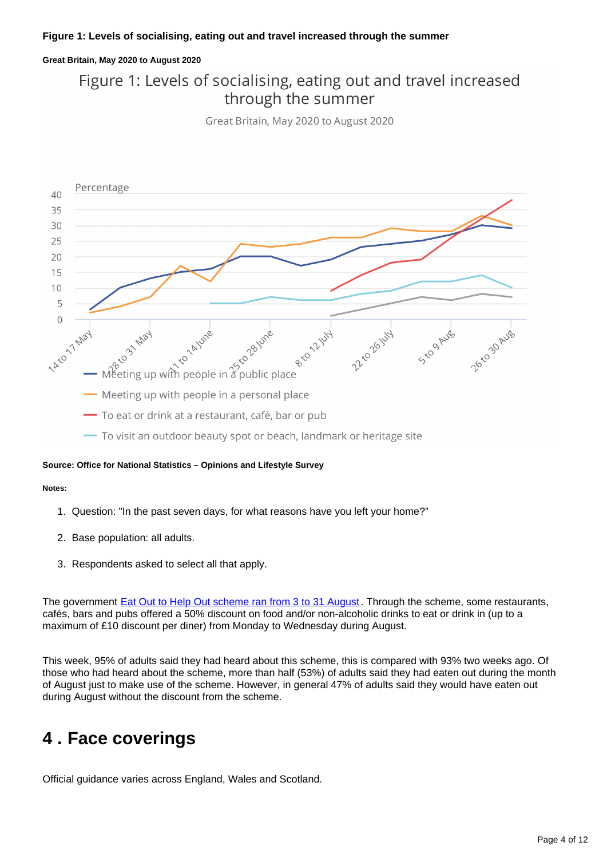#### **Great Britain, May 2020 to August 2020**

### Figure 1: Levels of socialising, eating out and travel increased through the summer

Great Britain, May 2020 to August 2020



#### **Source: Office for National Statistics – Opinions and Lifestyle Survey**

#### **Notes:**

- 1. Question: "In the past seven days, for what reasons have you left your home?"
- 2. Base population: all adults.
- 3. Respondents asked to select all that apply.

The government [Eat Out to Help Out scheme ran from 3 to 31 August](https://www.gov.uk/guidance/get-a-discount-with-the-eat-out-to-help-out-scheme). Through the scheme, some restaurants, cafés, bars and pubs offered a 50% discount on food and/or non-alcoholic drinks to eat or drink in (up to a maximum of £10 discount per diner) from Monday to Wednesday during August.

This week, 95% of adults said they had heard about this scheme, this is compared with 93% two weeks ago. Of those who had heard about the scheme, more than half (53%) of adults said they had eaten out during the month of August just to make use of the scheme. However, in general 47% of adults said they would have eaten out during August without the discount from the scheme.

### <span id="page-3-0"></span>**4 . Face coverings**

Official guidance varies across England, Wales and Scotland.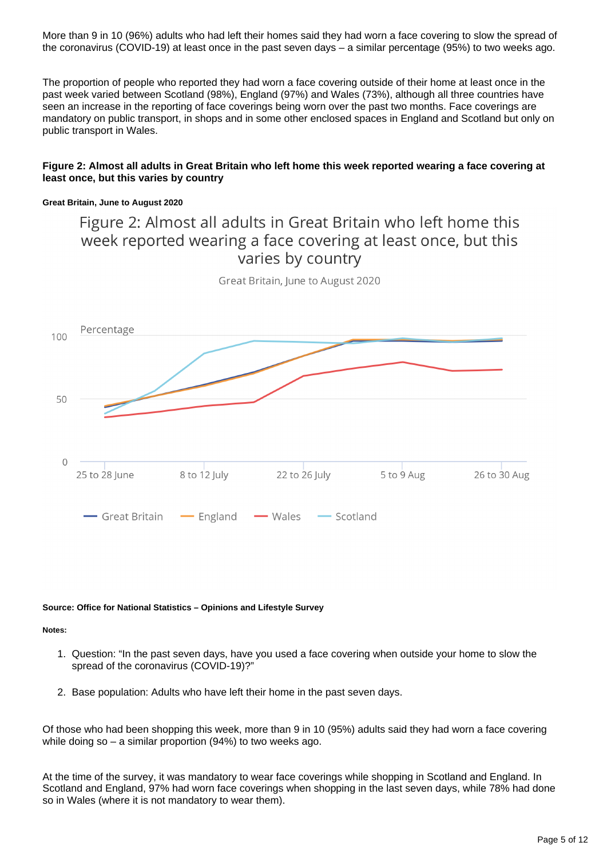More than 9 in 10 (96%) adults who had left their homes said they had worn a face covering to slow the spread of the coronavirus (COVID-19) at least once in the past seven days – a similar percentage (95%) to two weeks ago.

The proportion of people who reported they had worn a face covering outside of their home at least once in the past week varied between Scotland (98%), England (97%) and Wales (73%), although all three countries have seen an increase in the reporting of face coverings being worn over the past two months. Face coverings are mandatory on public transport, in shops and in some other enclosed spaces in England and Scotland but only on public transport in Wales.

#### **Figure 2: Almost all adults in Great Britain who left home this week reported wearing a face covering at least once, but this varies by country**

#### **Great Britain, June to August 2020**

### Figure 2: Almost all adults in Great Britain who left home this week reported wearing a face covering at least once, but this varies by country



Great Britain, June to August 2020

#### **Source: Office for National Statistics – Opinions and Lifestyle Survey**

#### **Notes:**

- 1. Question: "In the past seven days, have you used a face covering when outside your home to slow the spread of the coronavirus (COVID-19)?"
- 2. Base population: Adults who have left their home in the past seven days.

Of those who had been shopping this week, more than 9 in 10 (95%) adults said they had worn a face covering while doing so – a similar proportion (94%) to two weeks ago.

At the time of the survey, it was mandatory to wear face coverings while shopping in Scotland and England. In Scotland and England, 97% had worn face coverings when shopping in the last seven days, while 78% had done so in Wales (where it is not mandatory to wear them).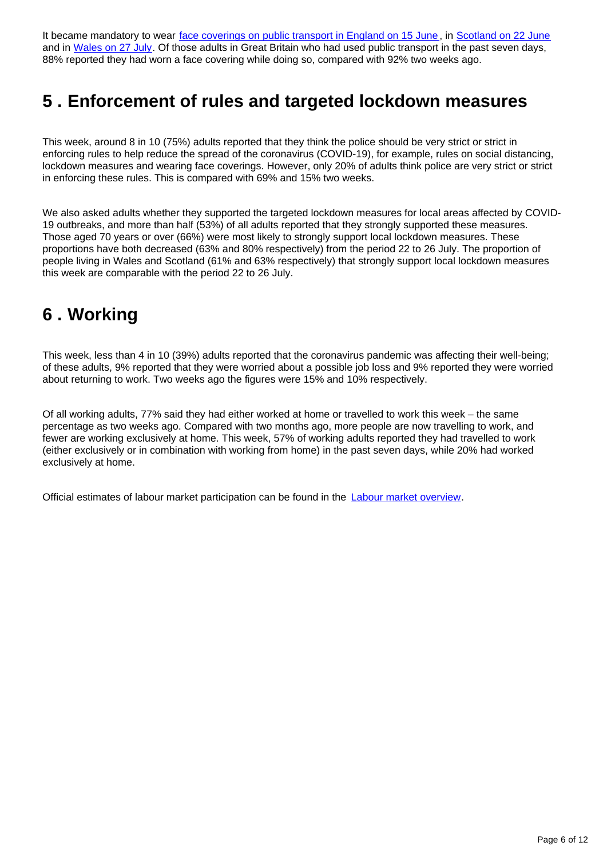It became mandatory to wear [face coverings on public transport in England on 15 June](https://www.gov.uk/guidance/coronavirus-covid-19-safer-travel-guidance-for-passengers), in [Scotland on 22 June](https://www.gov.scot/news/face-coverings-mandatory-on-public-transport-from-22-june/) and in [Wales on 27 July.](https://gov.wales/requirement-wear-face-covering-public-transport-wales) Of those adults in Great Britain who had used public transport in the past seven days, 88% reported they had worn a face covering while doing so, compared with 92% two weeks ago.

## <span id="page-5-0"></span>**5 . Enforcement of rules and targeted lockdown measures**

This week, around 8 in 10 (75%) adults reported that they think the police should be very strict or strict in enforcing rules to help reduce the spread of the coronavirus (COVID-19), for example, rules on social distancing, lockdown measures and wearing face coverings. However, only 20% of adults think police are very strict or strict in enforcing these rules. This is compared with 69% and 15% two weeks.

We also asked adults whether they supported the targeted lockdown measures for local areas affected by COVID-19 outbreaks, and more than half (53%) of all adults reported that they strongly supported these measures. Those aged 70 years or over (66%) were most likely to strongly support local lockdown measures. These proportions have both decreased (63% and 80% respectively) from the period 22 to 26 July. The proportion of people living in Wales and Scotland (61% and 63% respectively) that strongly support local lockdown measures this week are comparable with the period 22 to 26 July.

## <span id="page-5-1"></span>**6 . Working**

This week, less than 4 in 10 (39%) adults reported that the coronavirus pandemic was affecting their well-being; of these adults, 9% reported that they were worried about a possible job loss and 9% reported they were worried about returning to work. Two weeks ago the figures were 15% and 10% respectively.

Of all working adults, 77% said they had either worked at home or travelled to work this week – the same percentage as two weeks ago. Compared with two months ago, more people are now travelling to work, and fewer are working exclusively at home. This week, 57% of working adults reported they had travelled to work (either exclusively or in combination with working from home) in the past seven days, while 20% had worked exclusively at home.

Official estimates of labour market participation can be found in the [Labour market overview](https://www.ons.gov.uk/employmentandlabourmarket/peopleinwork/employmentandemployeetypes/bulletins/uklabourmarket/august2020).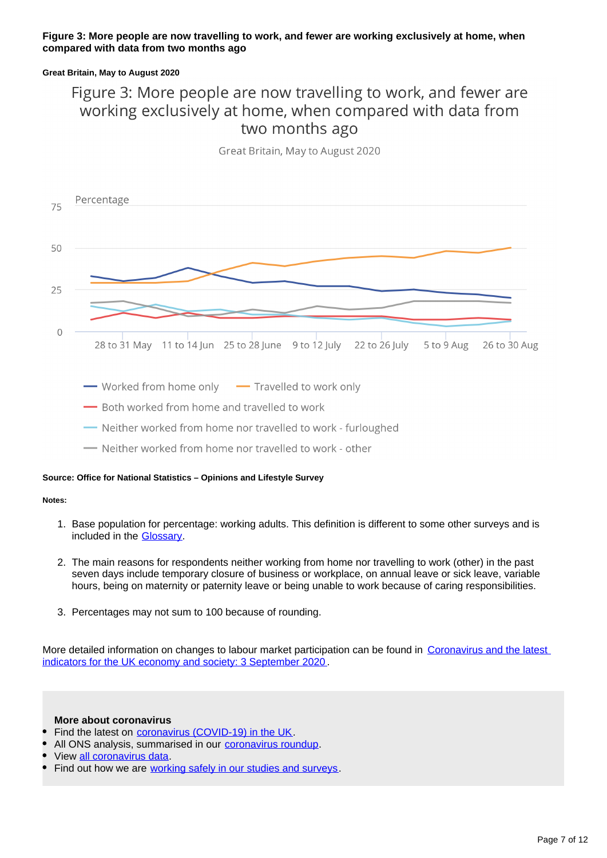#### **Figure 3: More people are now travelling to work, and fewer are working exclusively at home, when compared with data from two months ago**

#### **Great Britain, May to August 2020**

### Figure 3: More people are now travelling to work, and fewer are working exclusively at home, when compared with data from two months ago

Great Britain, May to August 2020



- Worked from home only Travelled to work only

- Both worked from home and travelled to work

- -Neither worked from home nor travelled to work furloughed
- Neither worked from home nor travelled to work other

#### **Source: Office for National Statistics – Opinions and Lifestyle Survey**

#### **Notes:**

- 1. Base population for percentage: working adults. This definition is different to some other surveys and is included in the **Glossary**.
- 2. The main reasons for respondents neither working from home nor travelling to work (other) in the past seven days include temporary closure of business or workplace, on annual leave or sick leave, variable hours, being on maternity or paternity leave or being unable to work because of caring responsibilities.
- 3. Percentages may not sum to 100 because of rounding.

More detailed information on changes to labour market participation can be found in Coronavirus and the latest [indicators for the UK economy and society: 3 September 2020](https://www.ons.gov.uk/peoplepopulationandcommunity/healthandsocialcare/conditionsanddiseases/bulletins/coronavirustheukeconomyandsocietyfasterindicators/20august2020) .

#### **More about coronavirus**

- Find the latest on [coronavirus \(COVID-19\) in the UK](https://www.ons.gov.uk/peoplepopulationandcommunity/healthandsocialcare/conditionsanddiseases).
- All ONS analysis, summarised in our [coronavirus roundup.](https://www.ons.gov.uk/peoplepopulationandcommunity/healthandsocialcare/conditionsanddiseases/articles/coronaviruscovid19roundup/latest)
- View [all coronavirus data.](https://www.ons.gov.uk/peoplepopulationandcommunity/healthandsocialcare/conditionsanddiseases/datalist)
- Find out how we are [working safely in our studies and surveys](https://www.ons.gov.uk/news/statementsandletters/ensuringyoursafetyduringcovid19).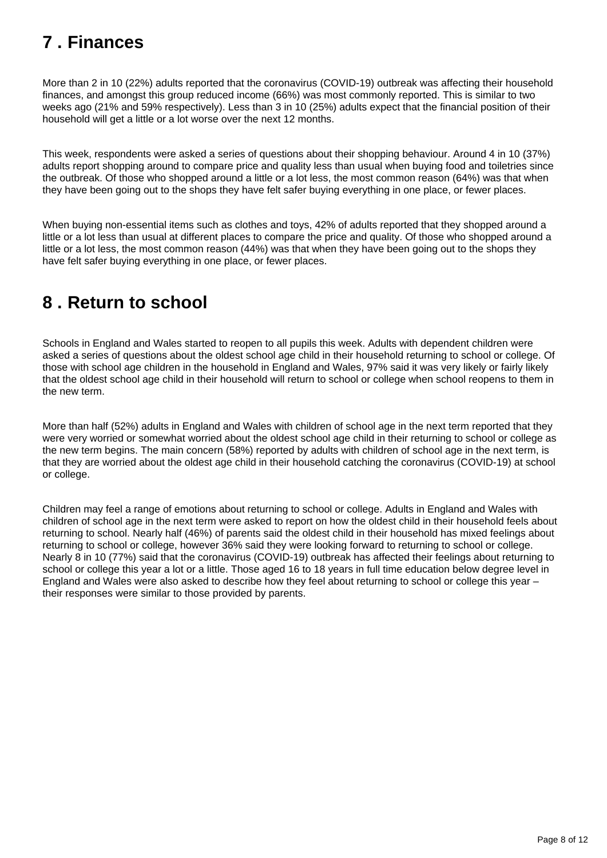## <span id="page-7-0"></span>**7 . Finances**

More than 2 in 10 (22%) adults reported that the coronavirus (COVID-19) outbreak was affecting their household finances, and amongst this group reduced income (66%) was most commonly reported. This is similar to two weeks ago (21% and 59% respectively). Less than 3 in 10 (25%) adults expect that the financial position of their household will get a little or a lot worse over the next 12 months.

This week, respondents were asked a series of questions about their shopping behaviour. Around 4 in 10 (37%) adults report shopping around to compare price and quality less than usual when buying food and toiletries since the outbreak. Of those who shopped around a little or a lot less, the most common reason (64%) was that when they have been going out to the shops they have felt safer buying everything in one place, or fewer places.

When buying non-essential items such as clothes and toys, 42% of adults reported that they shopped around a little or a lot less than usual at different places to compare the price and quality. Of those who shopped around a little or a lot less, the most common reason (44%) was that when they have been going out to the shops they have felt safer buying everything in one place, or fewer places.

## <span id="page-7-1"></span>**8 . Return to school**

Schools in England and Wales started to reopen to all pupils this week. Adults with dependent children were asked a series of questions about the oldest school age child in their household returning to school or college. Of those with school age children in the household in England and Wales, 97% said it was very likely or fairly likely that the oldest school age child in their household will return to school or college when school reopens to them in the new term.

More than half (52%) adults in England and Wales with children of school age in the next term reported that they were very worried or somewhat worried about the oldest school age child in their returning to school or college as the new term begins. The main concern (58%) reported by adults with children of school age in the next term, is that they are worried about the oldest age child in their household catching the coronavirus (COVID-19) at school or college.

Children may feel a range of emotions about returning to school or college. Adults in England and Wales with children of school age in the next term were asked to report on how the oldest child in their household feels about returning to school. Nearly half (46%) of parents said the oldest child in their household has mixed feelings about returning to school or college, however 36% said they were looking forward to returning to school or college. Nearly 8 in 10 (77%) said that the coronavirus (COVID-19) outbreak has affected their feelings about returning to school or college this year a lot or a little. Those aged 16 to 18 years in full time education below degree level in England and Wales were also asked to describe how they feel about returning to school or college this year – their responses were similar to those provided by parents.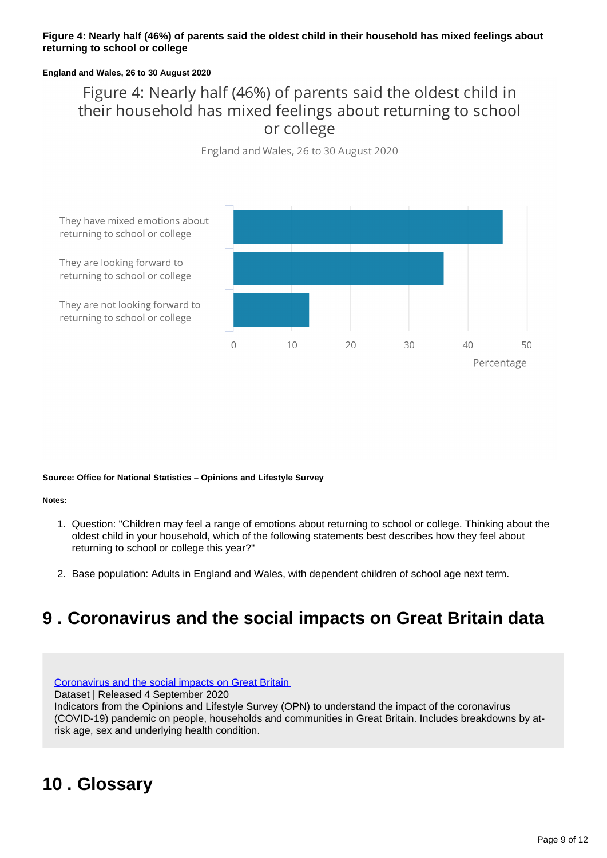#### **Figure 4: Nearly half (46%) of parents said the oldest child in their household has mixed feelings about returning to school or college**

#### **England and Wales, 26 to 30 August 2020**

### Figure 4: Nearly half (46%) of parents said the oldest child in their household has mixed feelings about returning to school or college

England and Wales, 26 to 30 August 2020



**Source: Office for National Statistics – Opinions and Lifestyle Survey**

#### **Notes:**

- 1. Question: "Children may feel a range of emotions about returning to school or college. Thinking about the oldest child in your household, which of the following statements best describes how they feel about returning to school or college this year?"
- 2. Base population: Adults in England and Wales, with dependent children of school age next term.

## <span id="page-8-0"></span>**9 . Coronavirus and the social impacts on Great Britain data**

[Coronavirus and the social impacts on Great Britain](https://www.ons.gov.uk/peoplepopulationandcommunity/healthandsocialcare/healthandwellbeing/datasets/coronavirusandthesocialimpactsongreatbritaindata)

Dataset | Released 4 September 2020

Indicators from the Opinions and Lifestyle Survey (OPN) to understand the impact of the coronavirus (COVID-19) pandemic on people, households and communities in Great Britain. Includes breakdowns by atrisk age, sex and underlying health condition.

## <span id="page-8-1"></span>**10 . Glossary**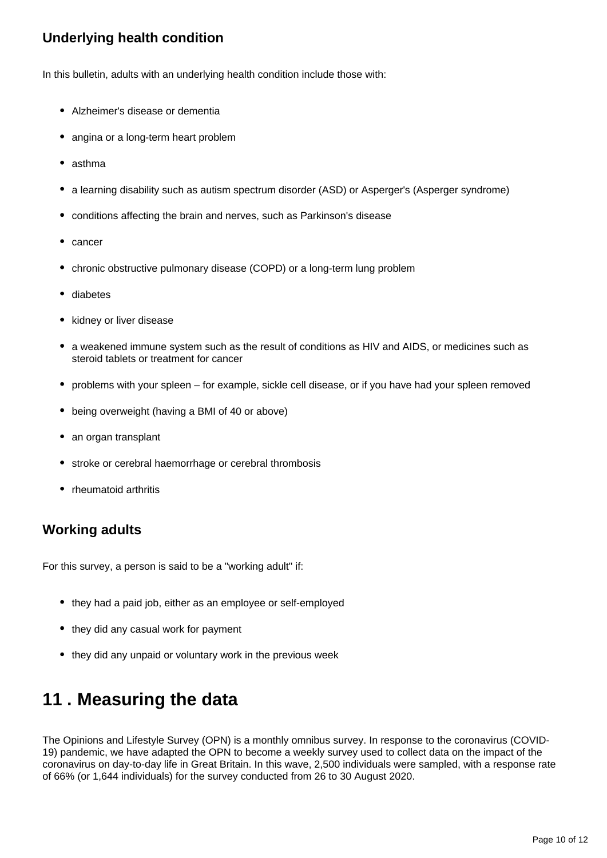### **Underlying health condition**

In this bulletin, adults with an underlying health condition include those with:

- Alzheimer's disease or dementia
- angina or a long-term heart problem
- asthma
- a learning disability such as autism spectrum disorder (ASD) or Asperger's (Asperger syndrome)
- conditions affecting the brain and nerves, such as Parkinson's disease
- cancer
- chronic obstructive pulmonary disease (COPD) or a long-term lung problem
- diabetes
- kidney or liver disease
- a weakened immune system such as the result of conditions as HIV and AIDS, or medicines such as steroid tablets or treatment for cancer
- problems with your spleen for example, sickle cell disease, or if you have had your spleen removed
- being overweight (having a BMI of 40 or above)
- an organ transplant
- stroke or cerebral haemorrhage or cerebral thrombosis
- rheumatoid arthritis

### **Working adults**

For this survey, a person is said to be a "working adult" if:

- they had a paid job, either as an employee or self-employed
- they did any casual work for payment
- they did any unpaid or voluntary work in the previous week

## <span id="page-9-0"></span>**11 . Measuring the data**

The Opinions and Lifestyle Survey (OPN) is a monthly omnibus survey. In response to the coronavirus (COVID-19) pandemic, we have adapted the OPN to become a weekly survey used to collect data on the impact of the coronavirus on day-to-day life in Great Britain. In this wave, 2,500 individuals were sampled, with a response rate of 66% (or 1,644 individuals) for the survey conducted from 26 to 30 August 2020.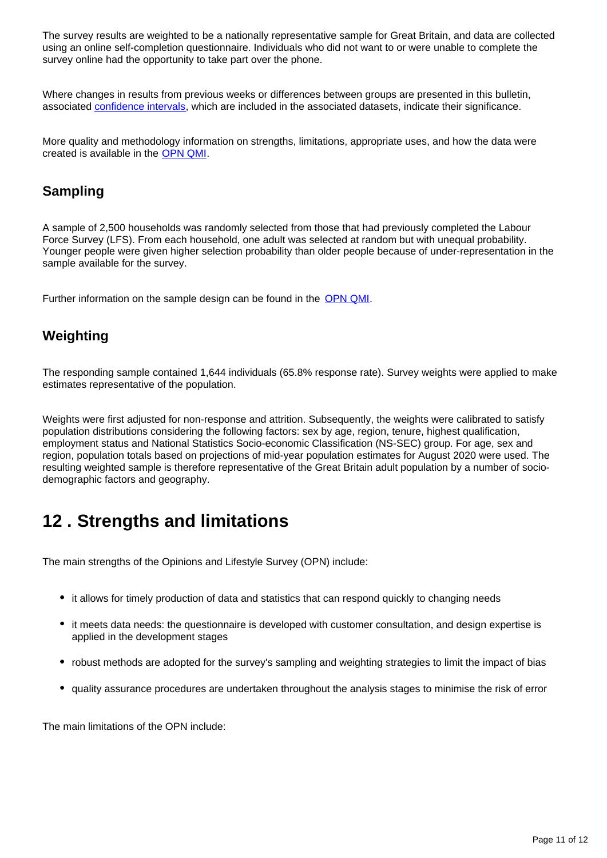The survey results are weighted to be a nationally representative sample for Great Britain, and data are collected using an online self-completion questionnaire. Individuals who did not want to or were unable to complete the survey online had the opportunity to take part over the phone.

Where changes in results from previous weeks or differences between groups are presented in this bulletin, associated [confidence intervals](https://www.ons.gov.uk/methodology/methodologytopicsandstatisticalconcepts/uncertaintyandhowwemeasureit#confidence-interval), which are included in the associated datasets, indicate their significance.

More quality and methodology information on strengths, limitations, appropriate uses, and how the data were created is available in the [OPN QMI.](https://www.ons.gov.uk/peoplepopulationandcommunity/healthandsocialcare/healthandlifeexpectancies/methodologies/opinionsandlifestylesurveyqmi)

### **Sampling**

A sample of 2,500 households was randomly selected from those that had previously completed the Labour Force Survey (LFS). From each household, one adult was selected at random but with unequal probability. Younger people were given higher selection probability than older people because of under-representation in the sample available for the survey.

Further information on the sample design can be found in the [OPN QMI.](https://www.ons.gov.uk/peoplepopulationandcommunity/healthandsocialcare/healthandlifeexpectancies/methodologies/opinionsandlifestylesurveyqmi)

### **Weighting**

The responding sample contained 1,644 individuals (65.8% response rate). Survey weights were applied to make estimates representative of the population.

Weights were first adjusted for non-response and attrition. Subsequently, the weights were calibrated to satisfy population distributions considering the following factors: sex by age, region, tenure, highest qualification, employment status and National Statistics Socio-economic Classification (NS-SEC) group. For age, sex and region, population totals based on projections of mid-year population estimates for August 2020 were used. The resulting weighted sample is therefore representative of the Great Britain adult population by a number of sociodemographic factors and geography.

## <span id="page-10-0"></span>**12 . Strengths and limitations**

The main strengths of the Opinions and Lifestyle Survey (OPN) include:

- it allows for timely production of data and statistics that can respond quickly to changing needs
- it meets data needs: the questionnaire is developed with customer consultation, and design expertise is applied in the development stages
- robust methods are adopted for the survey's sampling and weighting strategies to limit the impact of bias
- quality assurance procedures are undertaken throughout the analysis stages to minimise the risk of error

The main limitations of the OPN include: